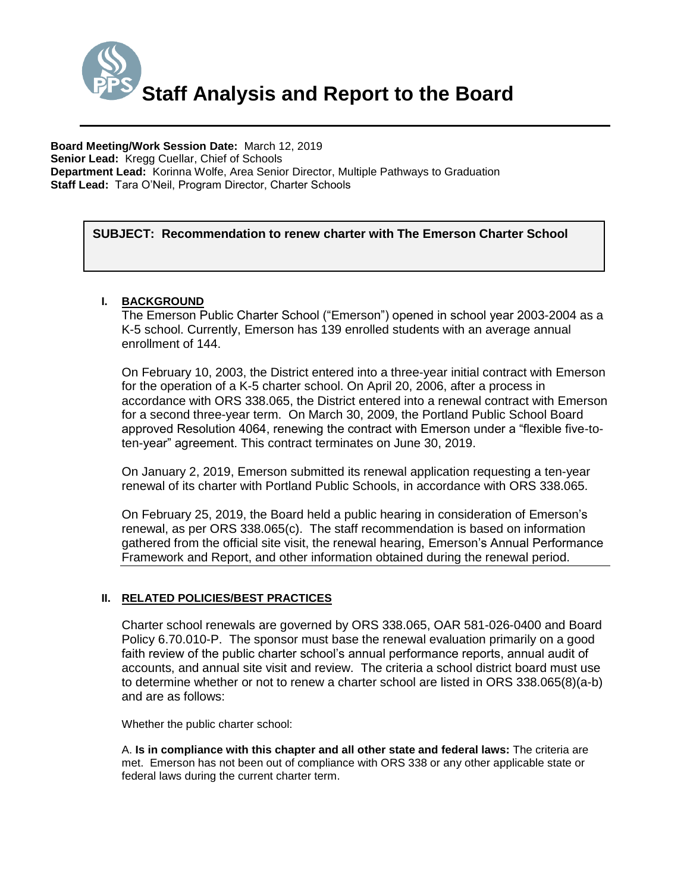

# **SUBJECT: Recommendation to renew charter with The Emerson Charter School**

### **I. BACKGROUND**

The Emerson Public Charter School ("Emerson") opened in school year 2003-2004 as a K-5 school. Currently, Emerson has 139 enrolled students with an average annual enrollment of 144.

On February 10, 2003, the District entered into a three-year initial contract with Emerson for the operation of a K-5 charter school. On April 20, 2006, after a process in accordance with ORS 338.065, the District entered into a renewal contract with Emerson for a second three-year term. On March 30, 2009, the Portland Public School Board approved Resolution 4064, renewing the contract with Emerson under a "flexible five-toten-year" agreement. This contract terminates on June 30, 2019.

On January 2, 2019, Emerson submitted its renewal application requesting a ten-year renewal of its charter with Portland Public Schools, in accordance with ORS 338.065.

On February 25, 2019, the Board held a public hearing in consideration of Emerson's renewal, as per ORS 338.065(c). The staff recommendation is based on information gathered from the official site visit, the renewal hearing, Emerson's Annual Performance Framework and Report, and other information obtained during the renewal period.

### **II. RELATED POLICIES/BEST PRACTICES**

Charter school renewals are governed by ORS 338.065, OAR 581-026-0400 and Board Policy 6.70.010-P. The sponsor must base the renewal evaluation primarily on a good faith review of the public charter school's annual performance reports, annual audit of accounts, and annual site visit and review. The criteria a school district board must use to determine whether or not to renew a charter school are listed in ORS 338.065(8)(a-b) and are as follows:

Whether the public charter school:

A. **Is in compliance with this chapter and all other state and federal laws:** The criteria are met. Emerson has not been out of compliance with ORS 338 or any other applicable state or federal laws during the current charter term.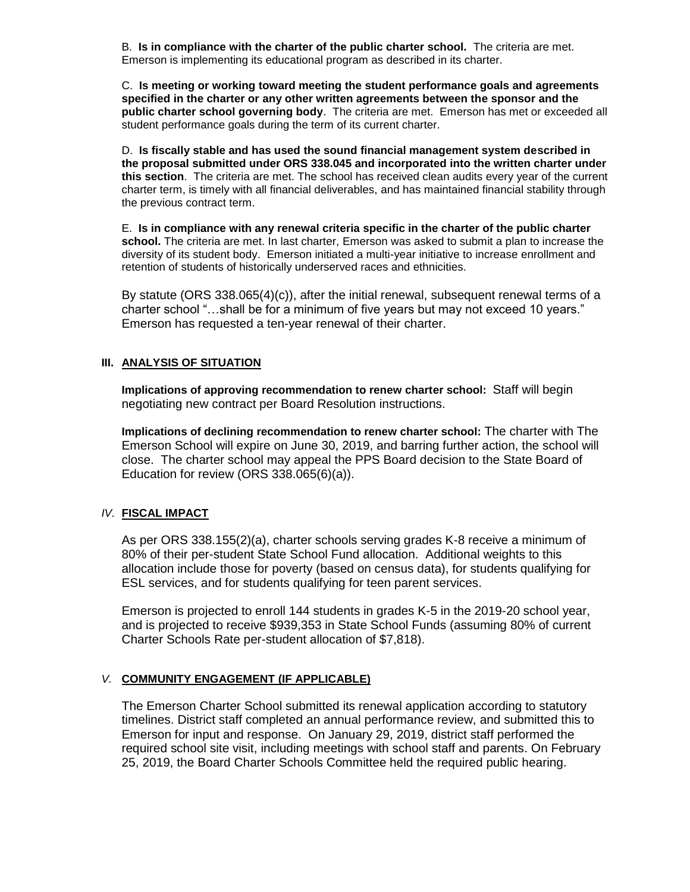B. **Is in compliance with the charter of the public charter school.** The criteria are met. Emerson is implementing its educational program as described in its charter.

C. **Is meeting or working toward meeting the student performance goals and agreements specified in the charter or any other written agreements between the sponsor and the public charter school governing body**. The criteria are met. Emerson has met or exceeded all student performance goals during the term of its current charter.

D. **Is fiscally stable and has used the sound financial management system described in the proposal submitted under ORS 338.045 and incorporated into the written charter under this section**. The criteria are met. The school has received clean audits every year of the current charter term, is timely with all financial deliverables, and has maintained financial stability through the previous contract term.

E. **Is in compliance with any renewal criteria specific in the charter of the public charter school.** The criteria are met. In last charter, Emerson was asked to submit a plan to increase the diversity of its student body. Emerson initiated a multi-year initiative to increase enrollment and retention of students of historically underserved races and ethnicities.

By statute (ORS 338.065(4)(c)), after the initial renewal, subsequent renewal terms of a charter school "…shall be for a minimum of five years but may not exceed 10 years." Emerson has requested a ten-year renewal of their charter.

### **III. ANALYSIS OF SITUATION**

**Implications of approving recommendation to renew charter school:** Staff will begin negotiating new contract per Board Resolution instructions.

**Implications of declining recommendation to renew charter school:** The charter with The Emerson School will expire on June 30, 2019, and barring further action, the school will close. The charter school may appeal the PPS Board decision to the State Board of Education for review (ORS 338.065(6)(a)).

#### *IV.* **FISCAL IMPACT**

As per ORS 338.155(2)(a), charter schools serving grades K-8 receive a minimum of 80% of their per-student State School Fund allocation. Additional weights to this allocation include those for poverty (based on census data), for students qualifying for ESL services, and for students qualifying for teen parent services.

Emerson is projected to enroll 144 students in grades K-5 in the 2019-20 school year, and is projected to receive \$939,353 in State School Funds (assuming 80% of current Charter Schools Rate per-student allocation of \$7,818).

### *V.* **COMMUNITY ENGAGEMENT (IF APPLICABLE)**

The Emerson Charter School submitted its renewal application according to statutory timelines. District staff completed an annual performance review, and submitted this to Emerson for input and response. On January 29, 2019, district staff performed the required school site visit, including meetings with school staff and parents. On February 25, 2019, the Board Charter Schools Committee held the required public hearing.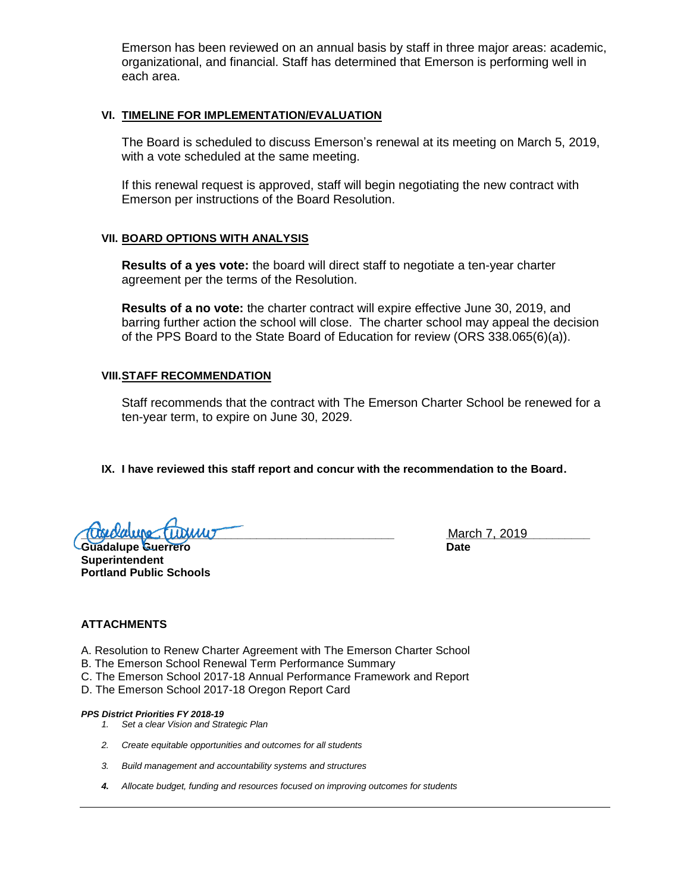Emerson has been reviewed on an annual basis by staff in three major areas: academic, organizational, and financial. Staff has determined that Emerson is performing well in each area.

#### **VI. TIMELINE FOR IMPLEMENTATION/EVALUATION**

The Board is scheduled to discuss Emerson's renewal at its meeting on March 5, 2019, with a vote scheduled at the same meeting.

If this renewal request is approved, staff will begin negotiating the new contract with Emerson per instructions of the Board Resolution.

#### **VII. BOARD OPTIONS WITH ANALYSIS**

**Results of a yes vote:** the board will direct staff to negotiate a ten-year charter agreement per the terms of the Resolution.

**Results of a no vote:** the charter contract will expire effective June 30, 2019, and barring further action the school will close. The charter school may appeal the decision of the PPS Board to the State Board of Education for review (ORS 338.065(6)(a)).

#### **VIII.STAFF RECOMMENDATION**

Staff recommends that the contract with The Emerson Charter School be renewed for a ten-year term, to expire on June 30, 2029.

### **IX. I have reviewed this staff report and concur with the recommendation to the Board.**

**TUGLOUIDE TUULMUT** 

**Guadalupe Guerrero Date Superintendent Portland Public Schools**

#### **ATTACHMENTS**

- A. Resolution to Renew Charter Agreement with The Emerson Charter School
- B. The Emerson School Renewal Term Performance Summary
- C. The Emerson School 2017-18 Annual Performance Framework and Report
- D. The Emerson School 2017-18 Oregon Report Card

#### *PPS District Priorities FY 2018-19*

- *1. Set a clear Vision and Strategic Plan*
- *2. Create equitable opportunities and outcomes for all students*
- *3. Build management and accountability systems and structures*
- *4. Allocate budget, funding and resources focused on improving outcomes for students*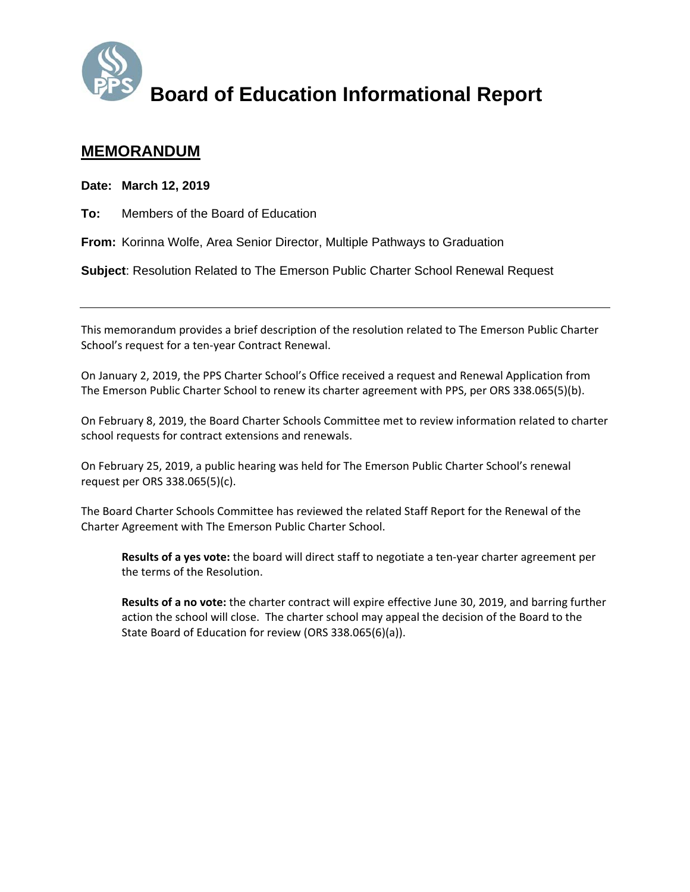

# **MEMORANDUM**

**Date: March 12, 2019** 

**To:** Members of the Board of Education

**From:** Korinna Wolfe, Area Senior Director, Multiple Pathways to Graduation

**Subject**: Resolution Related to The Emerson Public Charter School Renewal Request

This memorandum provides a brief description of the resolution related to The Emerson Public Charter School's request for a ten‐year Contract Renewal.

On January 2, 2019, the PPS Charter School's Office received a request and Renewal Application from The Emerson Public Charter School to renew its charter agreement with PPS, per ORS 338.065(5)(b).

On February 8, 2019, the Board Charter Schools Committee met to review information related to charter school requests for contract extensions and renewals.

On February 25, 2019, a public hearing was held for The Emerson Public Charter School's renewal request per ORS 338.065(5)(c).

The Board Charter Schools Committee has reviewed the related Staff Report for the Renewal of the Charter Agreement with The Emerson Public Charter School.

**Results of a yes vote:** the board will direct staff to negotiate a ten‐year charter agreement per the terms of the Resolution.

**Results of a no vote:** the charter contract will expire effective June 30, 2019, and barring further action the school will close. The charter school may appeal the decision of the Board to the State Board of Education for review (ORS 338.065(6)(a)).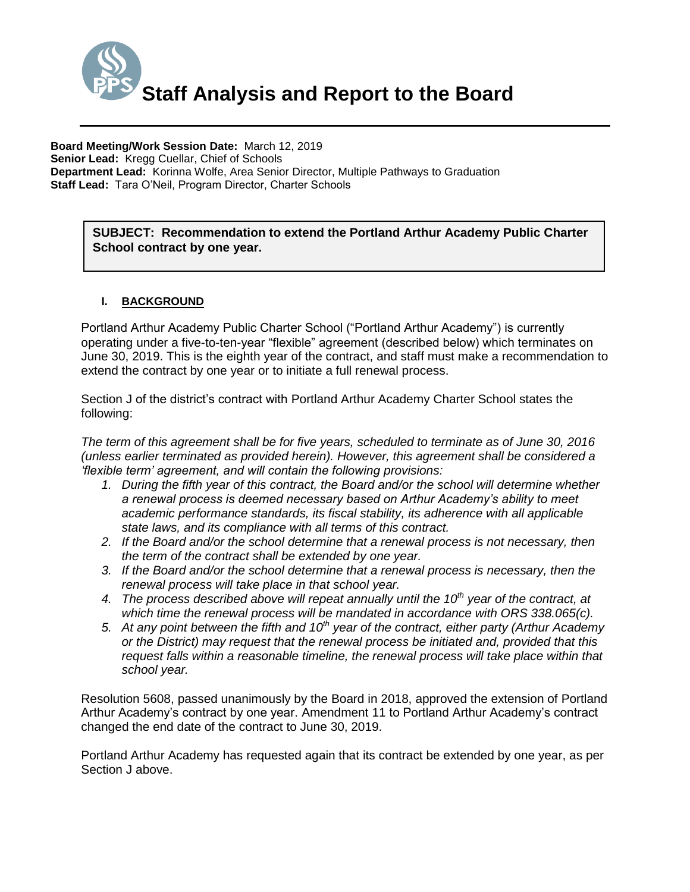

SUBJECT: Recommendation to extend the Portland Arthur Academy Public Charter **School contract by one year.**

## **I. BACKGROUND**

Portland Arthur Academy Public Charter School ("Portland Arthur Academy") is currently operating under a five-to-ten-year "flexible" agreement (described below) which terminates on June 30, 2019. This is the eighth year of the contract, and staff must make a recommendation to extend the contract by one year or to initiate a full renewal process.

Section J of the district's contract with Portland Arthur Academy Charter School states the following:

*The term of this agreement shall be for five years, scheduled to terminate as of June 30, 2016 (unless earlier terminated as provided herein). However, this agreement shall be considered a 'flexible term' agreement, and will contain the following provisions:*

- *1. During the fifth year of this contract, the Board and/or the school will determine whether a renewal process is deemed necessary based on Arthur Academy's ability to meet academic performance standards, its fiscal stability, its adherence with all applicable state laws, and its compliance with all terms of this contract.*
- *2. If the Board and/or the school determine that a renewal process is not necessary, then the term of the contract shall be extended by one year.*
- *3. If the Board and/or the school determine that a renewal process is necessary, then the renewal process will take place in that school year.*
- *4. The process described above will repeat annually until the 10th year of the contract, at which time the renewal process will be mandated in accordance with ORS 338.065(c).*
- *5. At any point between the fifth and 10th year of the contract, either party (Arthur Academy or the District) may request that the renewal process be initiated and, provided that this*  request falls within a reasonable timeline, the renewal process will take place within that *school year.*

Resolution 5608, passed unanimously by the Board in 2018, approved the extension of Portland Arthur Academy's contract by one year. Amendment 11 to Portland Arthur Academy's contract changed the end date of the contract to June 30, 2019.

Portland Arthur Academy has requested again that its contract be extended by one year, as per Section J above.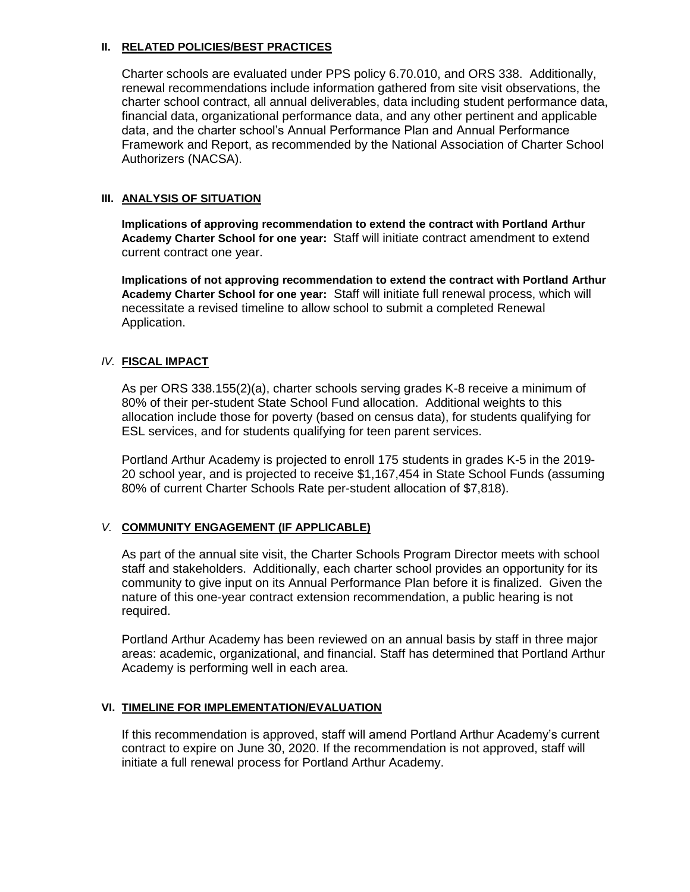### **II. RELATED POLICIES/BEST PRACTICES**

Charter schools are evaluated under PPS policy 6.70.010, and ORS 338. Additionally, renewal recommendations include information gathered from site visit observations, the charter school contract, all annual deliverables, data including student performance data, financial data, organizational performance data, and any other pertinent and applicable data, and the charter school's Annual Performance Plan and Annual Performance Framework and Report, as recommended by the National Association of Charter School Authorizers (NACSA).

## **III. ANALYSIS OF SITUATION**

**Implications of approving recommendation to extend the contract with Portland Arthur Academy Charter School for one year:** Staff will initiate contract amendment to extend current contract one year.

**Implications of not approving recommendation to extend the contract with Portland Arthur Academy Charter School for one year:** Staff will initiate full renewal process, which will necessitate a revised timeline to allow school to submit a completed Renewal Application.

## *IV.* **FISCAL IMPACT**

As per ORS 338.155(2)(a), charter schools serving grades K-8 receive a minimum of 80% of their per-student State School Fund allocation. Additional weights to this allocation include those for poverty (based on census data), for students qualifying for ESL services, and for students qualifying for teen parent services.

Portland Arthur Academy is projected to enroll 175 students in grades K-5 in the 2019- 20 school year, and is projected to receive \$1,167,454 in State School Funds (assuming 80% of current Charter Schools Rate per-student allocation of \$7,818).

# *V.* **COMMUNITY ENGAGEMENT (IF APPLICABLE)**

As part of the annual site visit, the Charter Schools Program Director meets with school staff and stakeholders. Additionally, each charter school provides an opportunity for its community to give input on its Annual Performance Plan before it is finalized. Given the nature of this one-year contract extension recommendation, a public hearing is not required.

Portland Arthur Academy has been reviewed on an annual basis by staff in three major areas: academic, organizational, and financial. Staff has determined that Portland Arthur Academy is performing well in each area.

### **VI. TIMELINE FOR IMPLEMENTATION/EVALUATION**

If this recommendation is approved, staff will amend Portland Arthur Academy's current contract to expire on June 30, 2020. If the recommendation is not approved, staff will initiate a full renewal process for Portland Arthur Academy.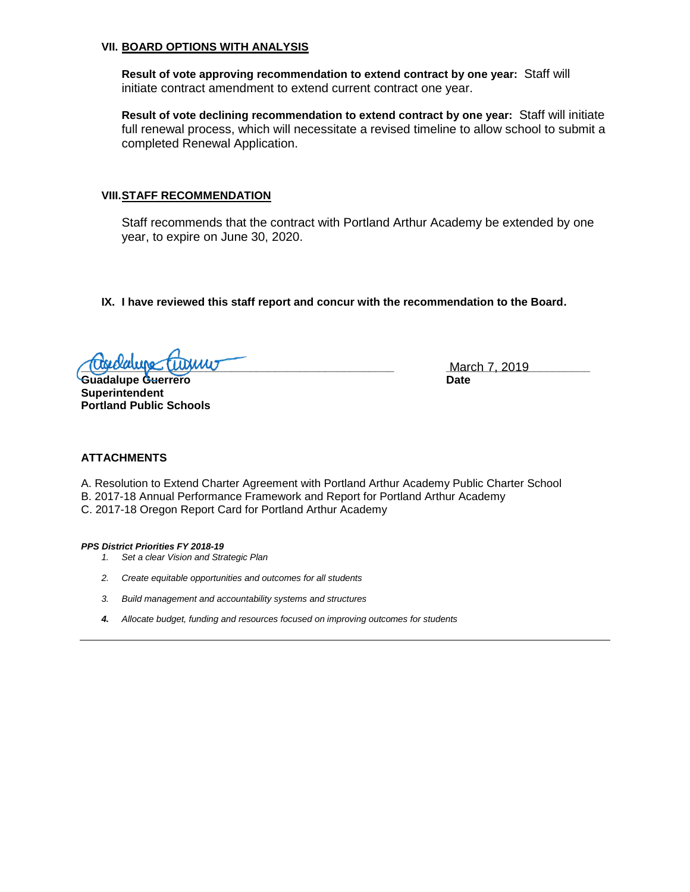#### **VII. BOARD OPTIONS WITH ANALYSIS**

**Result of vote approving recommendation to extend contract by one year:** Staff will initiate contract amendment to extend current contract one year.

**Result of vote declining recommendation to extend contract by one year:** Staff will initiate full renewal process, which will necessitate a revised timeline to allow school to submit a completed Renewal Application.

#### **VIII.STAFF RECOMMENDATION**

Staff recommends that the contract with Portland Arthur Academy be extended by one year, to expire on June 30, 2020.

**IX. I have reviewed this staff report and concur with the recommendation to the Board.**

**<u>Tuskolaluje (Tuskilu)</u> – augustiniais – augustiniais – March 7, 2019</u> – <u>March 7, 2019</u> – augustiniais – augustiniais – augustiniais – augustiniais – augustiniais – augustiniais – augustiniais – augustiniais – augustinia** 

**Guadalupe Guerrero Date Superintendent Portland Public Schools**

### **ATTACHMENTS**

A. Resolution to Extend Charter Agreement with Portland Arthur Academy Public Charter School B. 2017-18 Annual Performance Framework and Report for Portland Arthur Academy C. 2017-18 Oregon Report Card for Portland Arthur Academy

*PPS District Priorities FY 2018-19*

- *1. Set a clear Vision and Strategic Plan*
- *2. Create equitable opportunities and outcomes for all students*
- *3. Build management and accountability systems and structures*
- *4. Allocate budget, funding and resources focused on improving outcomes for students*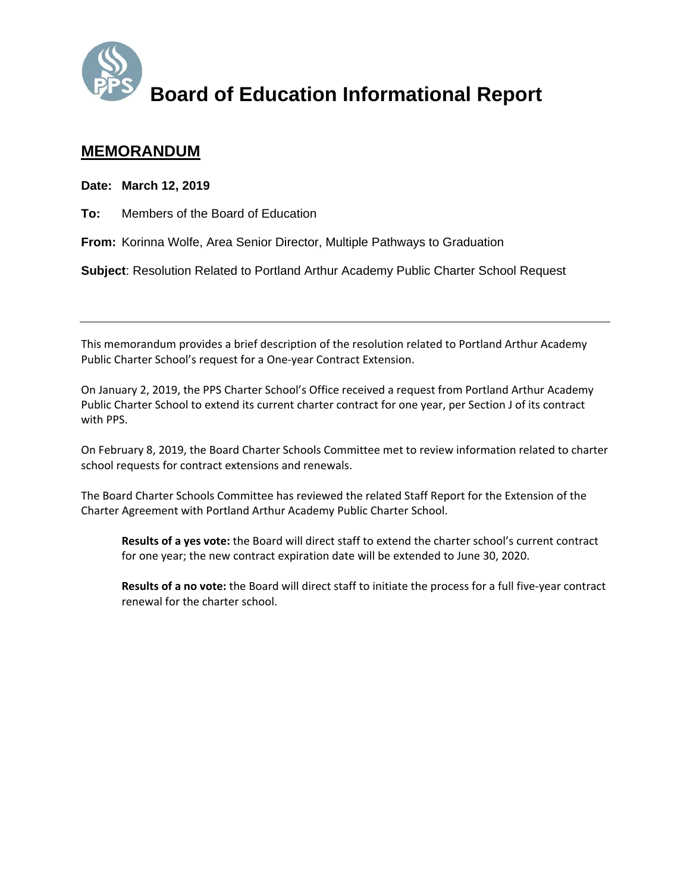

# **MEMORANDUM**

**Date: March 12, 2019** 

**To:** Members of the Board of Education

**From:** Korinna Wolfe, Area Senior Director, Multiple Pathways to Graduation

**Subject**: Resolution Related to Portland Arthur Academy Public Charter School Request

This memorandum provides a brief description of the resolution related to Portland Arthur Academy Public Charter School's request for a One‐year Contract Extension.

On January 2, 2019, the PPS Charter School's Office received a request from Portland Arthur Academy Public Charter School to extend its current charter contract for one year, per Section J of its contract with PPS.

On February 8, 2019, the Board Charter Schools Committee met to review information related to charter school requests for contract extensions and renewals.

The Board Charter Schools Committee has reviewed the related Staff Report for the Extension of the Charter Agreement with Portland Arthur Academy Public Charter School.

**Results of a yes vote:** the Board will direct staff to extend the charter school's current contract for one year; the new contract expiration date will be extended to June 30, 2020.

**Results of a no vote:** the Board will direct staff to initiate the process for a full five‐year contract renewal for the charter school.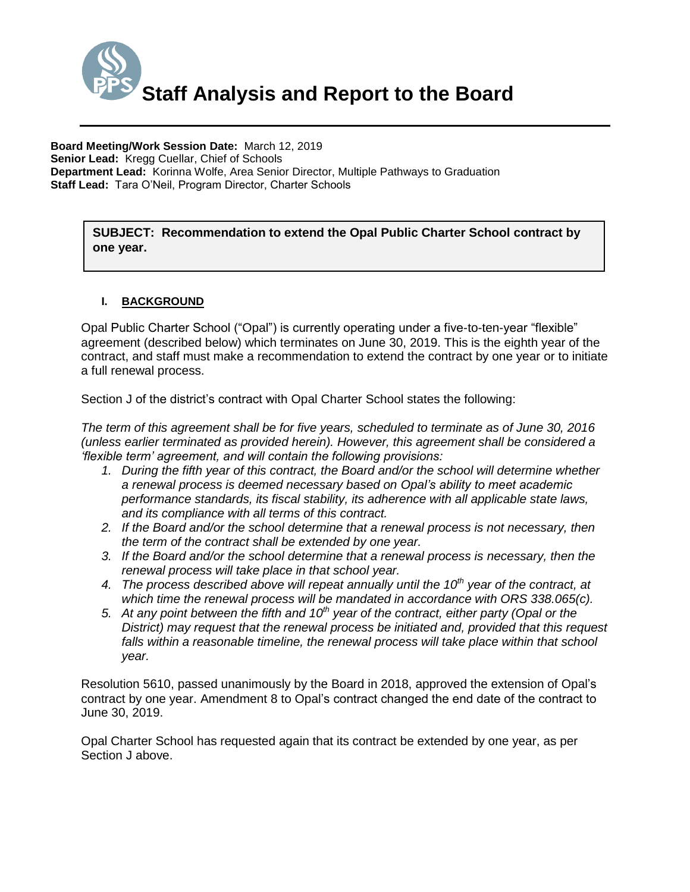

**SUBJECT: Recommendation to extend the Opal Public Charter School contract by one year.**

# **I. BACKGROUND**

Opal Public Charter School ("Opal") is currently operating under a five-to-ten-year "flexible" agreement (described below) which terminates on June 30, 2019. This is the eighth year of the contract, and staff must make a recommendation to extend the contract by one year or to initiate a full renewal process.

Section J of the district's contract with Opal Charter School states the following:

*The term of this agreement shall be for five years, scheduled to terminate as of June 30, 2016 (unless earlier terminated as provided herein). However, this agreement shall be considered a 'flexible term' agreement, and will contain the following provisions:*

- *1. During the fifth year of this contract, the Board and/or the school will determine whether a renewal process is deemed necessary based on Opal's ability to meet academic performance standards, its fiscal stability, its adherence with all applicable state laws, and its compliance with all terms of this contract.*
- *2. If the Board and/or the school determine that a renewal process is not necessary, then the term of the contract shall be extended by one year.*
- *3. If the Board and/or the school determine that a renewal process is necessary, then the renewal process will take place in that school year.*
- *4. The process described above will repeat annually until the 10th year of the contract, at which time the renewal process will be mandated in accordance with ORS 338.065(c).*
- *5. At any point between the fifth and 10th year of the contract, either party (Opal or the District) may request that the renewal process be initiated and, provided that this request*  falls within a reasonable timeline, the renewal process will take place within that school *year.*

Resolution 5610, passed unanimously by the Board in 2018, approved the extension of Opal's contract by one year. Amendment 8 to Opal's contract changed the end date of the contract to June 30, 2019.

Opal Charter School has requested again that its contract be extended by one year, as per Section J above.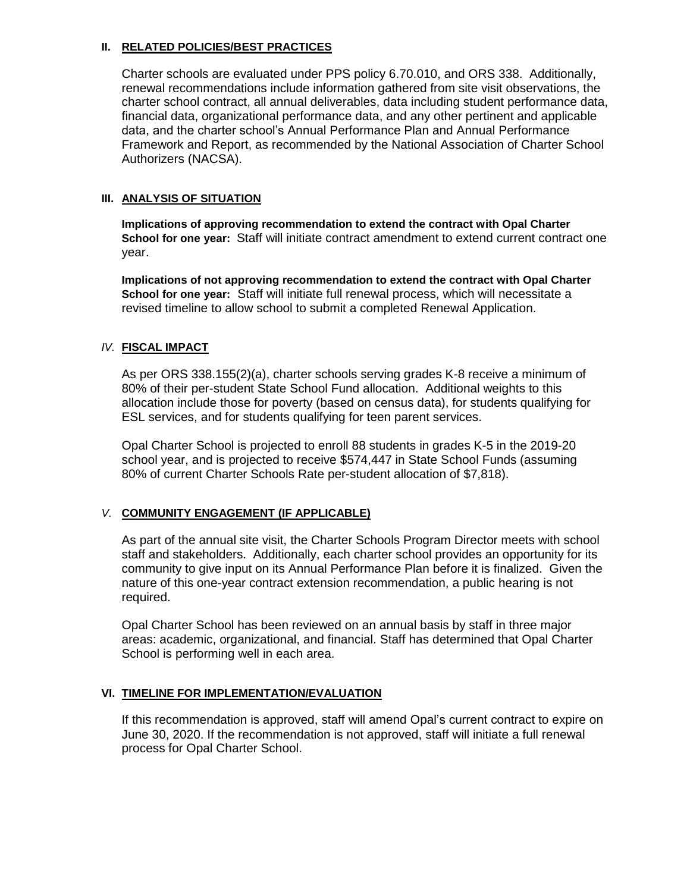### **II. RELATED POLICIES/BEST PRACTICES**

Charter schools are evaluated under PPS policy 6.70.010, and ORS 338. Additionally, renewal recommendations include information gathered from site visit observations, the charter school contract, all annual deliverables, data including student performance data, financial data, organizational performance data, and any other pertinent and applicable data, and the charter school's Annual Performance Plan and Annual Performance Framework and Report, as recommended by the National Association of Charter School Authorizers (NACSA).

## **III. ANALYSIS OF SITUATION**

**Implications of approving recommendation to extend the contract with Opal Charter School for one year:** Staff will initiate contract amendment to extend current contract one year.

**Implications of not approving recommendation to extend the contract with Opal Charter School for one year:** Staff will initiate full renewal process, which will necessitate a revised timeline to allow school to submit a completed Renewal Application.

## *IV.* **FISCAL IMPACT**

As per ORS 338.155(2)(a), charter schools serving grades K-8 receive a minimum of 80% of their per-student State School Fund allocation. Additional weights to this allocation include those for poverty (based on census data), for students qualifying for ESL services, and for students qualifying for teen parent services.

Opal Charter School is projected to enroll 88 students in grades K-5 in the 2019-20 school year, and is projected to receive \$574,447 in State School Funds (assuming 80% of current Charter Schools Rate per-student allocation of \$7,818).

# *V.* **COMMUNITY ENGAGEMENT (IF APPLICABLE)**

As part of the annual site visit, the Charter Schools Program Director meets with school staff and stakeholders. Additionally, each charter school provides an opportunity for its community to give input on its Annual Performance Plan before it is finalized. Given the nature of this one-year contract extension recommendation, a public hearing is not required.

Opal Charter School has been reviewed on an annual basis by staff in three major areas: academic, organizational, and financial. Staff has determined that Opal Charter School is performing well in each area.

# **VI. TIMELINE FOR IMPLEMENTATION/EVALUATION**

If this recommendation is approved, staff will amend Opal's current contract to expire on June 30, 2020. If the recommendation is not approved, staff will initiate a full renewal process for Opal Charter School.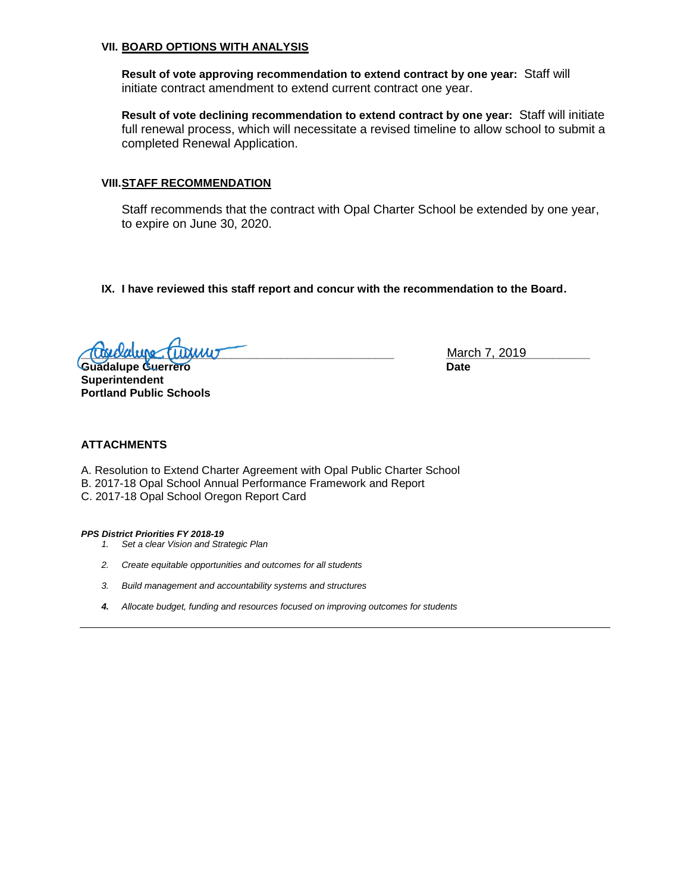#### **VII. BOARD OPTIONS WITH ANALYSIS**

**Result of vote approving recommendation to extend contract by one year:** Staff will initiate contract amendment to extend current contract one year.

**Result of vote declining recommendation to extend contract by one year:** Staff will initiate full renewal process, which will necessitate a revised timeline to allow school to submit a completed Renewal Application.

#### **VIII.STAFF RECOMMENDATION**

Staff recommends that the contract with Opal Charter School be extended by one year, to expire on June 30, 2020.

**IX. I have reviewed this staff report and concur with the recommendation to the Board.**

**Tubulupe with the contract of the contract of the contract of the contract of the contract of the contract of the contract of the contract of the contract of the contract of the contract of the contract of the contract of** 

**Guadalupe Guerrero Date Superintendent Portland Public Schools**

#### **ATTACHMENTS**

A. Resolution to Extend Charter Agreement with Opal Public Charter School B. 2017-18 Opal School Annual Performance Framework and Report C. 2017-18 Opal School Oregon Report Card

#### *PPS District Priorities FY 2018-19*

- *1. Set a clear Vision and Strategic Plan*
- *2. Create equitable opportunities and outcomes for all students*
- *3. Build management and accountability systems and structures*
- *4. Allocate budget, funding and resources focused on improving outcomes for students*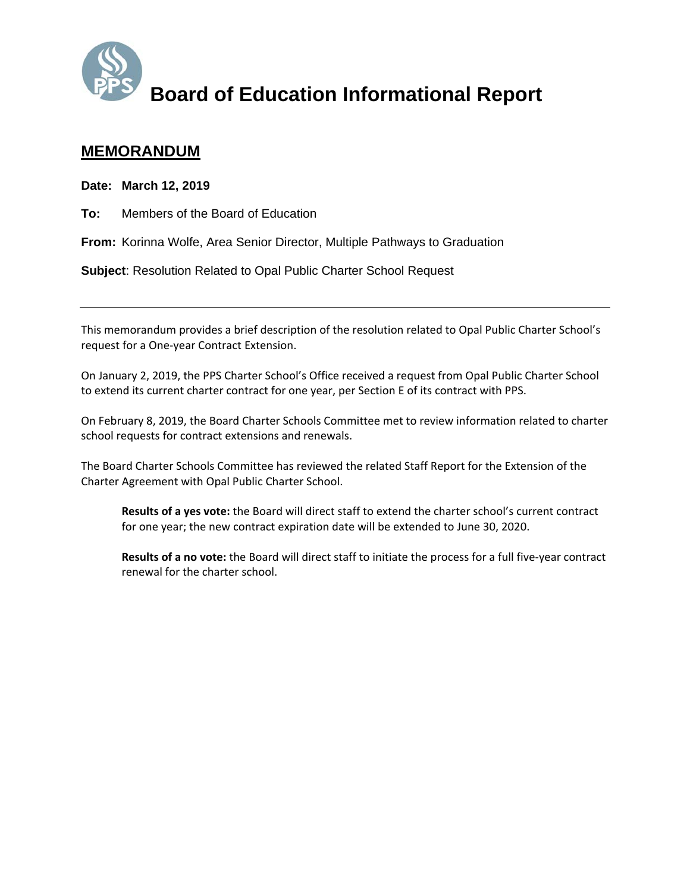

# **MEMORANDUM**

**Date: March 12, 2019** 

**To:** Members of the Board of Education

**From:** Korinna Wolfe, Area Senior Director, Multiple Pathways to Graduation

**Subject**: Resolution Related to Opal Public Charter School Request

This memorandum provides a brief description of the resolution related to Opal Public Charter School's request for a One‐year Contract Extension.

On January 2, 2019, the PPS Charter School's Office received a request from Opal Public Charter School to extend its current charter contract for one year, per Section E of its contract with PPS.

On February 8, 2019, the Board Charter Schools Committee met to review information related to charter school requests for contract extensions and renewals.

The Board Charter Schools Committee has reviewed the related Staff Report for the Extension of the Charter Agreement with Opal Public Charter School.

**Results of a yes vote:** the Board will direct staff to extend the charter school's current contract for one year; the new contract expiration date will be extended to June 30, 2020.

**Results of a no vote:** the Board will direct staff to initiate the process for a full five‐year contract renewal for the charter school.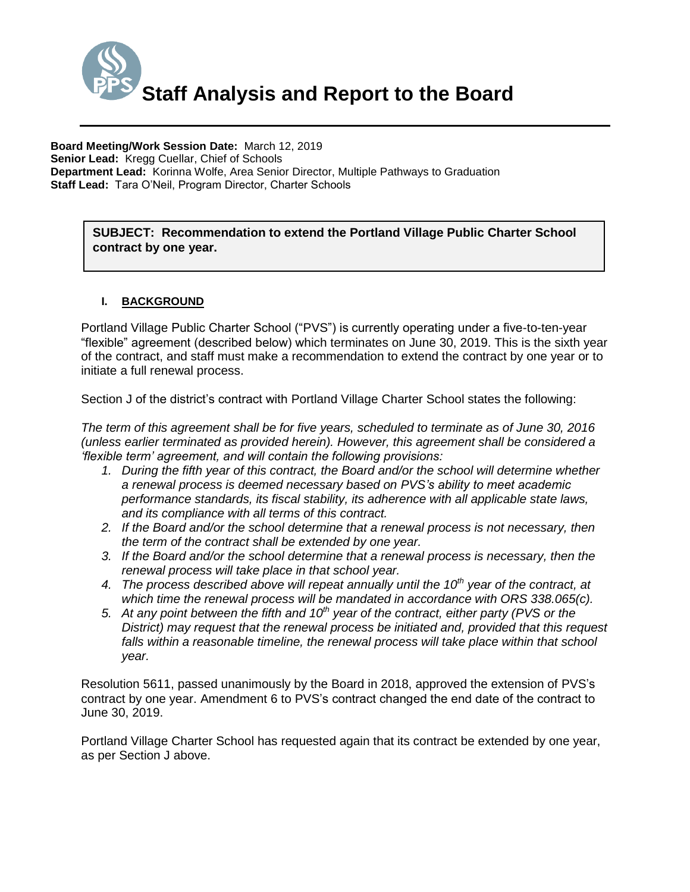

**SUBJECT: Recommendation to extend the Portland Village Public Charter School contract by one year.**

## **I. BACKGROUND**

Portland Village Public Charter School ("PVS") is currently operating under a five-to-ten-year "flexible" agreement (described below) which terminates on June 30, 2019. This is the sixth year of the contract, and staff must make a recommendation to extend the contract by one year or to initiate a full renewal process.

Section J of the district's contract with Portland Village Charter School states the following:

*The term of this agreement shall be for five years, scheduled to terminate as of June 30, 2016 (unless earlier terminated as provided herein). However, this agreement shall be considered a 'flexible term' agreement, and will contain the following provisions:*

- *1. During the fifth year of this contract, the Board and/or the school will determine whether a renewal process is deemed necessary based on PVS's ability to meet academic performance standards, its fiscal stability, its adherence with all applicable state laws, and its compliance with all terms of this contract.*
- *2. If the Board and/or the school determine that a renewal process is not necessary, then the term of the contract shall be extended by one year.*
- *3. If the Board and/or the school determine that a renewal process is necessary, then the renewal process will take place in that school year.*
- *4. The process described above will repeat annually until the 10th year of the contract, at which time the renewal process will be mandated in accordance with ORS 338.065(c).*
- *5. At any point between the fifth and 10th year of the contract, either party (PVS or the District) may request that the renewal process be initiated and, provided that this request*  falls within a reasonable timeline, the renewal process will take place within that school *year.*

Resolution 5611, passed unanimously by the Board in 2018, approved the extension of PVS's contract by one year. Amendment 6 to PVS's contract changed the end date of the contract to June 30, 2019.

Portland Village Charter School has requested again that its contract be extended by one year, as per Section J above.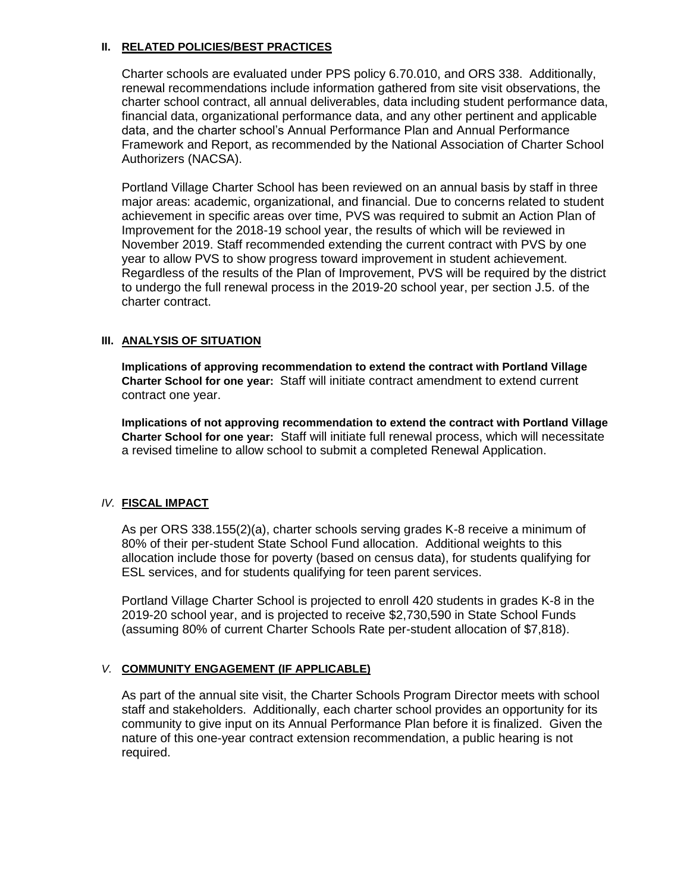### **II. RELATED POLICIES/BEST PRACTICES**

Charter schools are evaluated under PPS policy 6.70.010, and ORS 338. Additionally, renewal recommendations include information gathered from site visit observations, the charter school contract, all annual deliverables, data including student performance data, financial data, organizational performance data, and any other pertinent and applicable data, and the charter school's Annual Performance Plan and Annual Performance Framework and Report, as recommended by the National Association of Charter School Authorizers (NACSA).

Portland Village Charter School has been reviewed on an annual basis by staff in three major areas: academic, organizational, and financial. Due to concerns related to student achievement in specific areas over time, PVS was required to submit an Action Plan of Improvement for the 2018-19 school year, the results of which will be reviewed in November 2019. Staff recommended extending the current contract with PVS by one year to allow PVS to show progress toward improvement in student achievement. Regardless of the results of the Plan of Improvement, PVS will be required by the district to undergo the full renewal process in the 2019-20 school year, per section J.5. of the charter contract.

# **III. ANALYSIS OF SITUATION**

**Implications of approving recommendation to extend the contract with Portland Village Charter School for one year:** Staff will initiate contract amendment to extend current contract one year.

**Implications of not approving recommendation to extend the contract with Portland Village Charter School for one year:** Staff will initiate full renewal process, which will necessitate a revised timeline to allow school to submit a completed Renewal Application.

### *IV.* **FISCAL IMPACT**

As per ORS 338.155(2)(a), charter schools serving grades K-8 receive a minimum of 80% of their per-student State School Fund allocation. Additional weights to this allocation include those for poverty (based on census data), for students qualifying for ESL services, and for students qualifying for teen parent services.

Portland Village Charter School is projected to enroll 420 students in grades K-8 in the 2019-20 school year, and is projected to receive \$2,730,590 in State School Funds (assuming 80% of current Charter Schools Rate per-student allocation of \$7,818).

# *V.* **COMMUNITY ENGAGEMENT (IF APPLICABLE)**

As part of the annual site visit, the Charter Schools Program Director meets with school staff and stakeholders. Additionally, each charter school provides an opportunity for its community to give input on its Annual Performance Plan before it is finalized. Given the nature of this one-year contract extension recommendation, a public hearing is not required.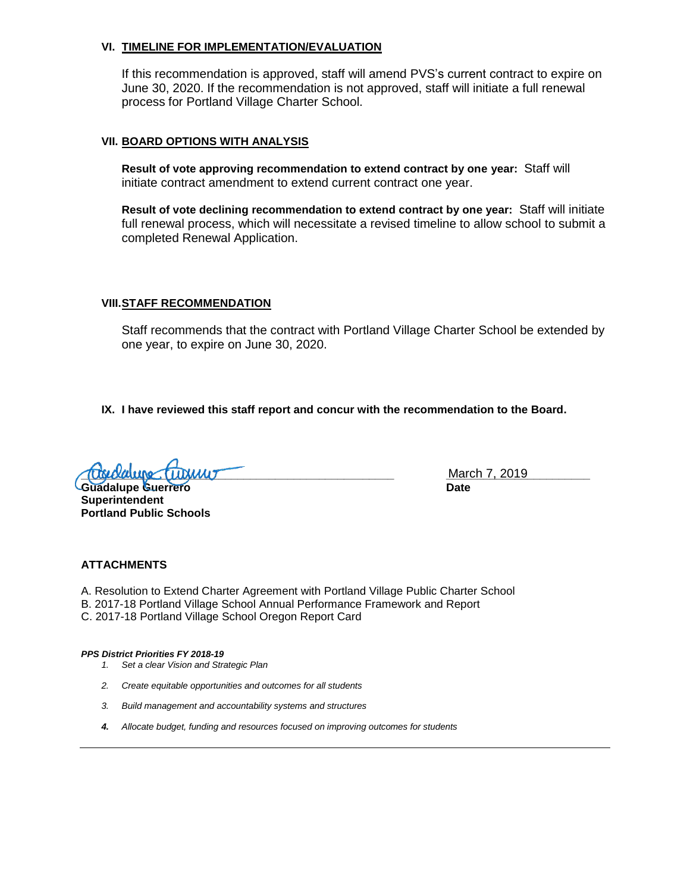#### **VI. TIMELINE FOR IMPLEMENTATION/EVALUATION**

If this recommendation is approved, staff will amend PVS's current contract to expire on June 30, 2020. If the recommendation is not approved, staff will initiate a full renewal process for Portland Village Charter School.

#### **VII. BOARD OPTIONS WITH ANALYSIS**

**Result of vote approving recommendation to extend contract by one year:** Staff will initiate contract amendment to extend current contract one year.

**Result of vote declining recommendation to extend contract by one year:** Staff will initiate full renewal process, which will necessitate a revised timeline to allow school to submit a completed Renewal Application.

#### **VIII.STAFF RECOMMENDATION**

Staff recommends that the contract with Portland Village Charter School be extended by one year, to expire on June 30, 2020.

**IX. I have reviewed this staff report and concur with the recommendation to the Board.**

 $\sigma$ 

**Guadalupe Guerrero Cataloguerra de la contrada de la contrada de la contrada de la contrada de la contrada de Superintendent Portland Public Schools**

March 7, 2019

#### **ATTACHMENTS**

A. Resolution to Extend Charter Agreement with Portland Village Public Charter School B. 2017-18 Portland Village School Annual Performance Framework and Report C. 2017-18 Portland Village School Oregon Report Card

*PPS District Priorities FY 2018-19*

*1. Set a clear Vision and Strategic Plan*

- *2. Create equitable opportunities and outcomes for all students*
- *3. Build management and accountability systems and structures*
- *4. Allocate budget, funding and resources focused on improving outcomes for students*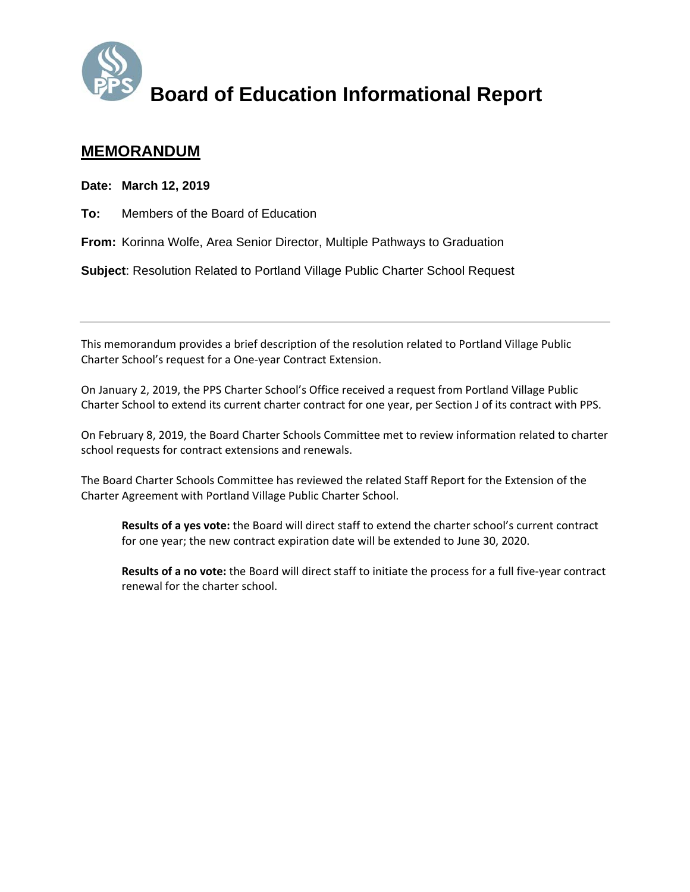

# **MEMORANDUM**

**Date: March 12, 2019** 

**To:** Members of the Board of Education

**From:** Korinna Wolfe, Area Senior Director, Multiple Pathways to Graduation

**Subject**: Resolution Related to Portland Village Public Charter School Request

This memorandum provides a brief description of the resolution related to Portland Village Public Charter School's request for a One‐year Contract Extension.

On January 2, 2019, the PPS Charter School's Office received a request from Portland Village Public Charter School to extend its current charter contract for one year, per Section J of its contract with PPS.

On February 8, 2019, the Board Charter Schools Committee met to review information related to charter school requests for contract extensions and renewals.

The Board Charter Schools Committee has reviewed the related Staff Report for the Extension of the Charter Agreement with Portland Village Public Charter School.

**Results of a yes vote:** the Board will direct staff to extend the charter school's current contract for one year; the new contract expiration date will be extended to June 30, 2020.

**Results of a no vote:** the Board will direct staff to initiate the process for a full five‐year contract renewal for the charter school.